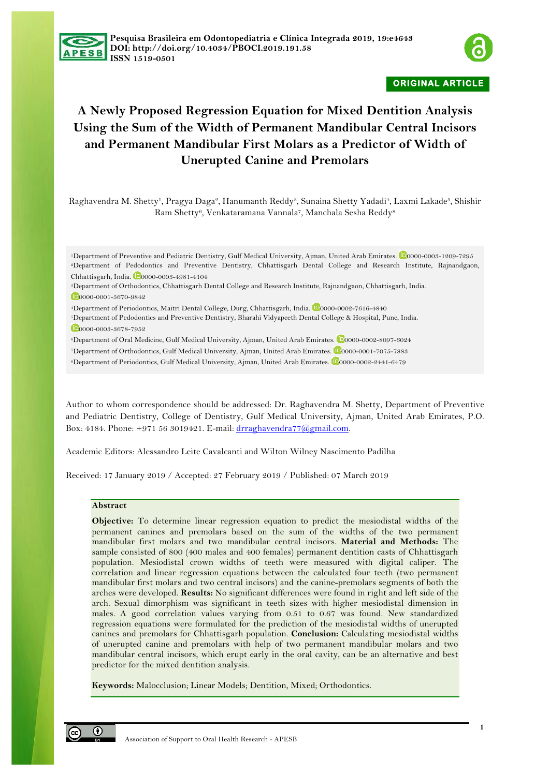



**ORIGINAL ARTICLE** 

# **A Newly Proposed Regression Equation for Mixed Dentition Analysis Using the Sum of the Width of Permanent Mandibular Central Incisors and Permanent Mandibular First Molars as a Predictor of Width of Unerupted Canine and Premolars**

Raghavendra M. Shetty<sup>1</sup>, Pragya Daga<sup>2</sup>, Hanumanth Reddy<sup>3</sup>, Sunaina Shetty Yadadi<sup>4</sup>, Laxmi Lakade<sup>5</sup>, Shishir Ram Shetty6, Venkataramana Vannala7, Manchala Sesha Reddy<sup>8</sup>

<sup>1</sup>Department of Preventive and Pediatric Dentistry, Gulf Medical University, Ajman, United Arab Emirates. <sup>12</sup>0000-0003-1209-7295 <sup>2</sup>Department of Pedodontics and Preventive Dentistry, Chhattisgarh Dental College and Research Institute, Rajnandgaon, Chhattisgarh, India. <sup>12</sup>0000-0003-4981-4104

<sup>3</sup>Department of Orthodontics, Chhattisgarh Dental College and Research Institute, Rajnandgaon, Chhattisgarh, India.

0000-0001-5670-9842

<sup>4</sup>Department of Periodontics, Maitri Dental College, Durg, Chhattisgarh, India. <sup>10</sup>0000-0002-7616-4840

<sup>5</sup>Department of Pedodontics and Preventive Dentistry, Bharahi Vidyapeeth Dental College & Hospital, Pune, India. 0000-0003-3678-7952

<sup>6</sup>Department of Oral Medicine, Gulf Medical University, Ajman, United Arab Emirates. <sup>10</sup>0000-0002-8097-6024

<sup>7</sup>Department of Orthodontics, Gulf Medical University, Ajman, United Arab Emirates. <sup>10</sup>0000-0001-7075-7883

<sup>8</sup>Department of Periodontics, Gulf Medical University, Ajman, United Arab Emirates. <sup>10</sup>0000-0002-2441-6479

Author to whom correspondence should be addressed: Dr. Raghavendra M. Shetty, Department of Preventive and Pediatric Dentistry, College of Dentistry, Gulf Medical University, Ajman, United Arab Emirates, P.O. Box: 4184. Phone: +971 56 3019421. E-mail: drraghavendra77@gmail.com.

Academic Editors: Alessandro Leite Cavalcanti and Wilton Wilney Nascimento Padilha

Received: 17 January 2019 / Accepted: 27 February 2019 / Published: 07 March 2019

# **Abstract**

**Objective:** To determine linear regression equation to predict the mesiodistal widths of the permanent canines and premolars based on the sum of the widths of the two permanent mandibular first molars and two mandibular central incisors. **Material and Methods:** The sample consisted of 800 (400 males and 400 females) permanent dentition casts of Chhattisgarh population. Mesiodistal crown widths of teeth were measured with digital caliper. The correlation and linear regression equations between the calculated four teeth (two permanent mandibular first molars and two central incisors) and the canine-premolars segments of both the arches were developed. **Results:** No significant differences were found in right and left side of the arch. Sexual dimorphism was significant in teeth sizes with higher mesiodistal dimension in males. A good correlation values varying from 0.51 to 0.67 was found. New standardized regression equations were formulated for the prediction of the mesiodistal widths of unerupted canines and premolars for Chhattisgarh population. **Conclusion:** Calculating mesiodistal widths of unerupted canine and premolars with help of two permanent mandibular molars and two mandibular central incisors, which erupt early in the oral cavity, can be an alternative and best predictor for the mixed dentition analysis.

**Keywords:** Malocclusion; Linear Models; Dentition, Mixed; Orthodontics.

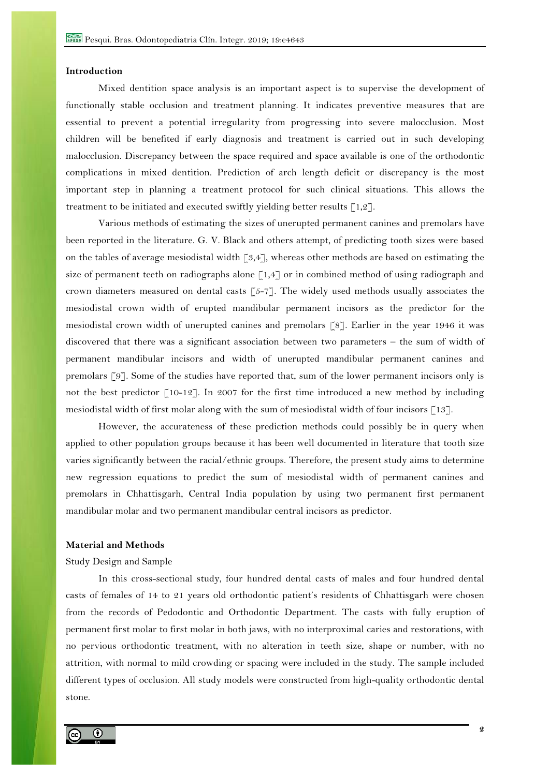### **Introduction**

Mixed dentition space analysis is an important aspect is to supervise the development of functionally stable occlusion and treatment planning. It indicates preventive measures that are essential to prevent a potential irregularity from progressing into severe malocclusion. Most children will be benefited if early diagnosis and treatment is carried out in such developing malocclusion. Discrepancy between the space required and space available is one of the orthodontic complications in mixed dentition. Prediction of arch length deficit or discrepancy is the most important step in planning a treatment protocol for such clinical situations. This allows the treatment to be initiated and executed swiftly yielding better results  $\lceil 1,2 \rceil$ .

Various methods of estimating the sizes of unerupted permanent canines and premolars have been reported in the literature. G. V. Black and others attempt, of predicting tooth sizes were based on the tables of average mesiodistal width  $\lceil 3,4 \rceil$ , whereas other methods are based on estimating the size of permanent teeth on radiographs alone  $\lceil 1.4 \rceil$  or in combined method of using radiograph and crown diameters measured on dental casts  $\lceil 5-7 \rceil$ . The widely used methods usually associates the mesiodistal crown width of erupted mandibular permanent incisors as the predictor for the mesiodistal crown width of unerupted canines and premolars [8]. Earlier in the year 1946 it was discovered that there was a significant association between two parameters – the sum of width of permanent mandibular incisors and width of unerupted mandibular permanent canines and premolars [9]. Some of the studies have reported that, sum of the lower permanent incisors only is not the best predictor  $\lceil 10^{-12} \rceil$ . In 2007 for the first time introduced a new method by including mesiodistal width of first molar along with the sum of mesiodistal width of four incisors [13].

However, the accurateness of these prediction methods could possibly be in query when applied to other population groups because it has been well documented in literature that tooth size varies significantly between the racial/ethnic groups. Therefore, the present study aims to determine new regression equations to predict the sum of mesiodistal width of permanent canines and premolars in Chhattisgarh, Central India population by using two permanent first permanent mandibular molar and two permanent mandibular central incisors as predictor.

# **Material and Methods**

## Study Design and Sample

In this cross-sectional study, four hundred dental casts of males and four hundred dental casts of females of 14 to 21 years old orthodontic patient's residents of Chhattisgarh were chosen from the records of Pedodontic and Orthodontic Department. The casts with fully eruption of permanent first molar to first molar in both jaws, with no interproximal caries and restorations, with no pervious orthodontic treatment, with no alteration in teeth size, shape or number, with no attrition, with normal to mild crowding or spacing were included in the study. The sample included different types of occlusion. All study models were constructed from high-quality orthodontic dental stone.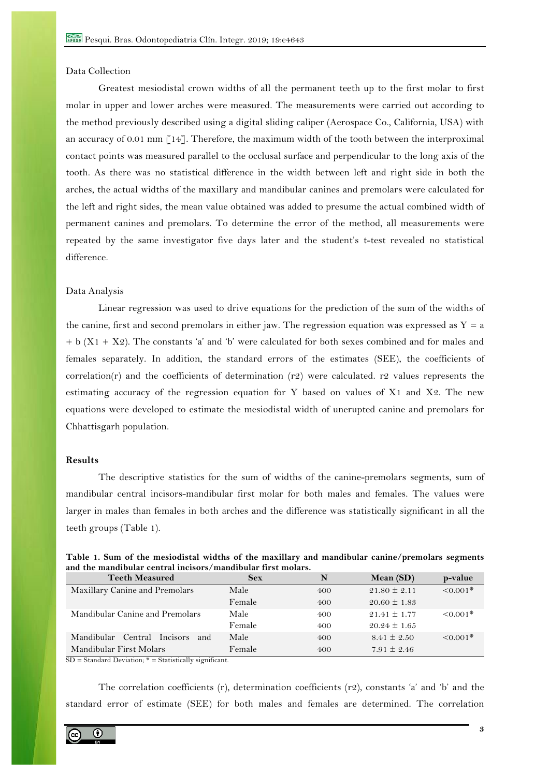# Data Collection

Greatest mesiodistal crown widths of all the permanent teeth up to the first molar to first molar in upper and lower arches were measured. The measurements were carried out according to the method previously described using a digital sliding caliper (Aerospace Co., California, USA) with an accuracy of 0.01 mm  $\lceil 14 \rceil$ . Therefore, the maximum width of the tooth between the interproximal contact points was measured parallel to the occlusal surface and perpendicular to the long axis of the tooth. As there was no statistical difference in the width between left and right side in both the arches, the actual widths of the maxillary and mandibular canines and premolars were calculated for the left and right sides, the mean value obtained was added to presume the actual combined width of permanent canines and premolars. To determine the error of the method, all measurements were repeated by the same investigator five days later and the student's t-test revealed no statistical difference.

#### Data Analysis

Linear regression was used to drive equations for the prediction of the sum of the widths of the canine, first and second premolars in either jaw. The regression equation was expressed as  $Y = a$  $+ b (X1 + X2)$ . The constants 'a' and 'b' were calculated for both sexes combined and for males and females separately. In addition, the standard errors of the estimates (SEE), the coefficients of correlation(r) and the coefficients of determination (r2) were calculated. r2 values represents the estimating accuracy of the regression equation for Y based on values of X1 and X2. The new equations were developed to estimate the mesiodistal width of unerupted canine and premolars for Chhattisgarh population.

#### **Results**

The descriptive statistics for the sum of widths of the canine-premolars segments, sum of mandibular central incisors-mandibular first molar for both males and females. The values were larger in males than females in both arches and the difference was statistically significant in all the teeth groups (Table 1).

|  | Table 1. Sum of the mesiodistal widths of the maxillary and mandibular canine/premolars segments |  |  |  |  |
|--|--------------------------------------------------------------------------------------------------|--|--|--|--|
|  | and the mandibular central incisors/mandibular first molars.                                     |  |  |  |  |

| <b>Teeth Measured</b>                 | <b>Sex</b> | N   | Mean $(SD)$      | p-value       |
|---------------------------------------|------------|-----|------------------|---------------|
| Maxillary Canine and Premolars        | Male       | 400 | $21.80 \pm 2.11$ | $< 0.001*$    |
|                                       | Female     | 400 | $20.60 \pm 1.83$ |               |
| Mandibular Canine and Premolars       | Male       | 400 | $21.41 \pm 1.77$ | $\leq 0.001*$ |
|                                       | Female     | 400 | $20.24 \pm 1.65$ |               |
| Central Incisors<br>Mandibular<br>and | Male       | 400 | $8.41 \pm 2.50$  | $\leq 0.001*$ |
| Mandibular First Molars               | Female     | 400 | $7.91 \pm 2.46$  |               |

 $SD = Standard Deviation; * = Statistically significant.$ 

The correlation coefficients (r), determination coefficients (r2), constants 'a' and 'b' and the standard error of estimate (SEE) for both males and females are determined. The correlation

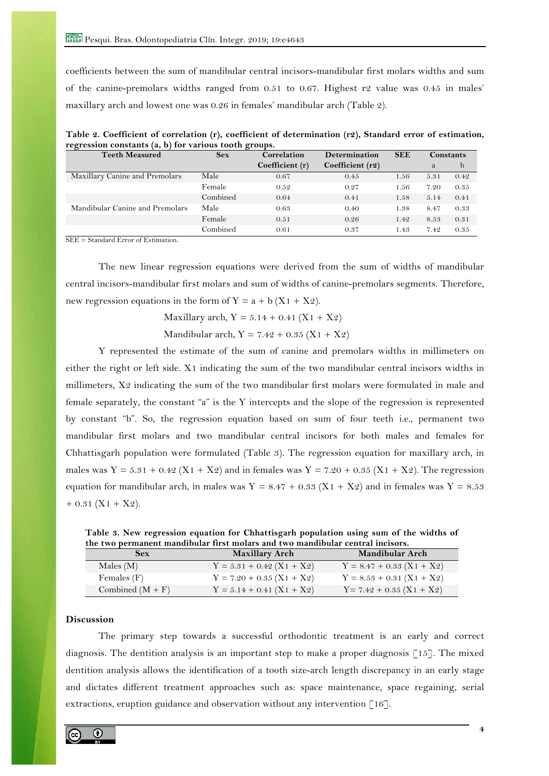coefficients between the sum of mandibular central incisors-mandibular first molars widths and sum of the canine-premolars widths ranged from  $0.51$  to  $0.67$ . Highest r2 value was  $0.45$  in males' maxillary arch and lowest one was 0.26 in females' mandibular arch (Table 2).

| $-5 - - -$<br><b>Teeth Measured</b> | <b>Sex</b> | <b>Determination</b><br>Correlation |                  | <b>SEE</b> | Constants |      |
|-------------------------------------|------------|-------------------------------------|------------------|------------|-----------|------|
|                                     |            | Coefficient (r)                     | Coefficient (r2) |            | a         | b    |
| Maxillary Canine and Premolars      | Male       | 0.67                                | 0.45             | 1.56       | 5.31      | 0.42 |
|                                     | Female     | 0.52                                | 0.27             | 1.56       | 7.20      | 0.35 |
|                                     | Combined   | 0.64                                | 0.41             | 1.58       | 5.14      | 0.41 |
| Mandibular Canine and Premolars     | Male       | 0.63                                | 0.40             | 1.38       | 8.47      | 0.33 |
|                                     | Female     | 0.51                                | 0.26             | 1.42       | 8.53      | 0.31 |
|                                     | Combined   | 0.61                                | 0.37             | 1.43       | 7.42      | 0.35 |

**Table 2. Coefficient of correlation (r), coefficient of determination (r2), Standard error of estimation, regression constants (a, b) for various tooth groups.**

SEE = Standard Error of Estimation.

The new linear regression equations were derived from the sum of widths of mandibular central incisors-mandibular first molars and sum of widths of canine-premolars segments. Therefore, new regression equations in the form of  $Y = a + b (X1 + X2)$ .

Maxillary arch,  $Y = 5.14 + 0.41 (X1 + X2)$ 

Mandibular arch,  $Y = 7.42 + 0.35 (X_1 + X_2)$ 

Y represented the estimate of the sum of canine and premolars widths in millimeters on either the right or left side. X1 indicating the sum of the two mandibular central incisors widths in millimeters, X2 indicating the sum of the two mandibular first molars were formulated in male and female separately, the constant "a" is the Y intercepts and the slope of the regression is represented by constant "b". So, the regression equation based on sum of four teeth i.e., permanent two mandibular first molars and two mandibular central incisors for both males and females for Chhattisgarh population were formulated (Table 3). The regression equation for maxillary arch, in males was  $Y = 5.31 + 0.42$  (X1 + X2) and in females was  $Y = 7.20 + 0.35$  (X1 + X2). The regression equation for mandibular arch, in males was Y = 8.47 + 0.33 (X1 + X2) and in females was Y = 8.53  $+ 0.31$  (X1 + X2).

**Table 3. New regression equation for Chhattisgarh population using sum of the widths of the two permanent mandibular first molars and two mandibular central incisors.**

| <b>Sex</b>         | <b>Maxillary Arch</b>         | <b>Mandibular Arch</b>      |
|--------------------|-------------------------------|-----------------------------|
| Males $(M)$        | $Y = 5.31 + 0.42 (X1 + X2)$   | $Y = 8.47 + 0.33 (X1 + X2)$ |
| Females $(F)$      | $Y = 7.20 + 0.35 (X_1 + X_2)$ | $Y = 8.53 + 0.31 (X1 + X2)$ |
| Combined $(M + F)$ | $Y = 5.14 + 0.41 (X1 + X2)$   | $Y = 7.42 + 0.35 (X1 + X2)$ |

# **Discussion**

The primary step towards a successful orthodontic treatment is an early and correct diagnosis. The dentition analysis is an important step to make a proper diagnosis  $\lceil 15 \rceil$ . The mixed dentition analysis allows the identification of a tooth size-arch length discrepancy in an early stage and dictates different treatment approaches such as: space maintenance, space regaining, serial extractions, eruption guidance and observation without any intervention  $\lceil 16 \rceil$ .

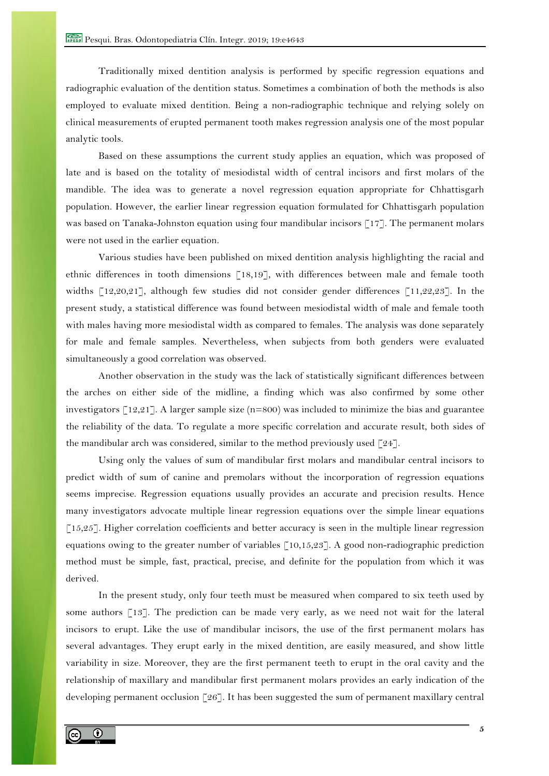Traditionally mixed dentition analysis is performed by specific regression equations and radiographic evaluation of the dentition status. Sometimes a combination of both the methods is also employed to evaluate mixed dentition. Being a non-radiographic technique and relying solely on clinical measurements of erupted permanent tooth makes regression analysis one of the most popular analytic tools.

Based on these assumptions the current study applies an equation, which was proposed of late and is based on the totality of mesiodistal width of central incisors and first molars of the mandible. The idea was to generate a novel regression equation appropriate for Chhattisgarh population. However, the earlier linear regression equation formulated for Chhattisgarh population was based on Tanaka-Johnston equation using four mandibular incisors [17]. The permanent molars were not used in the earlier equation.

Various studies have been published on mixed dentition analysis highlighting the racial and ethnic differences in tooth dimensions [18,19], with differences between male and female tooth widths  $\lceil 12,20,21 \rceil$ , although few studies did not consider gender differences  $\lceil 11,22,23 \rceil$ . In the present study, a statistical difference was found between mesiodistal width of male and female tooth with males having more mesiodistal width as compared to females. The analysis was done separately for male and female samples. Nevertheless, when subjects from both genders were evaluated simultaneously a good correlation was observed.

Another observation in the study was the lack of statistically significant differences between the arches on either side of the midline, a finding which was also confirmed by some other investigators [12,21]. A larger sample size (n=800) was included to minimize the bias and guarantee the reliability of the data. To regulate a more specific correlation and accurate result, both sides of the mandibular arch was considered, similar to the method previously used  $\lceil 24 \rceil$ .

Using only the values of sum of mandibular first molars and mandibular central incisors to predict width of sum of canine and premolars without the incorporation of regression equations seems imprecise. Regression equations usually provides an accurate and precision results. Hence many investigators advocate multiple linear regression equations over the simple linear equations [15,25]. Higher correlation coefficients and better accuracy is seen in the multiple linear regression equations owing to the greater number of variables [10,15,23]. A good non-radiographic prediction method must be simple, fast, practical, precise, and definite for the population from which it was derived.

In the present study, only four teeth must be measured when compared to six teeth used by some authors [13]. The prediction can be made very early, as we need not wait for the lateral incisors to erupt. Like the use of mandibular incisors, the use of the first permanent molars has several advantages. They erupt early in the mixed dentition, are easily measured, and show little variability in size. Moreover, they are the first permanent teeth to erupt in the oral cavity and the relationship of maxillary and mandibular first permanent molars provides an early indication of the developing permanent occlusion [26]. It has been suggested the sum of permanent maxillary central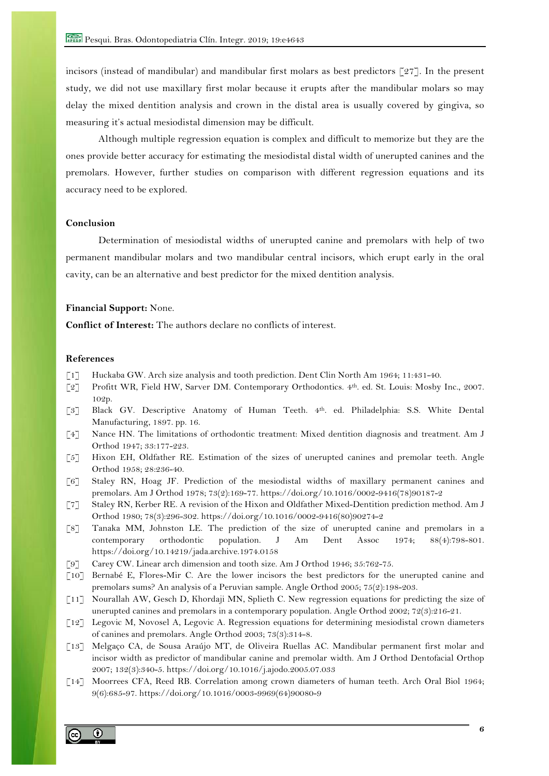incisors (instead of mandibular) and mandibular first molars as best predictors [27]. In the present study, we did not use maxillary first molar because it erupts after the mandibular molars so may delay the mixed dentition analysis and crown in the distal area is usually covered by gingiva, so measuring it's actual mesiodistal dimension may be difficult.

Although multiple regression equation is complex and difficult to memorize but they are the ones provide better accuracy for estimating the mesiodistal distal width of unerupted canines and the premolars. However, further studies on comparison with different regression equations and its accuracy need to be explored.

# **Conclusion**

Determination of mesiodistal widths of unerupted canine and premolars with help of two permanent mandibular molars and two mandibular central incisors, which erupt early in the oral cavity, can be an alternative and best predictor for the mixed dentition analysis.

# **Financial Support:** None.

**Conflict of Interest:** The authors declare no conflicts of interest.

#### **References**

- [1] Huckaba GW. Arch size analysis and tooth prediction. Dent Clin North Am 1964; 11:431-40.
- [2] Profitt WR, Field HW, Sarver DM. Contemporary Orthodontics. 4th. ed. St. Louis: Mosby Inc., 2007. 102p.
- [3] Black GV. Descriptive Anatomy of Human Teeth. 4th. ed. Philadelphia: S.S. White Dental Manufacturing, 1897. pp. 16.
- [4] Nance HN. The limitations of orthodontic treatment: Mixed dentition diagnosis and treatment. Am J Orthod 1947; 33:177-223.
- [5] Hixon EH, Oldfather RE. Estimation of the sizes of unerupted canines and premolar teeth. Angle Orthod 1958; 28:236-40.
- [6] Staley RN, Hoag JF. Prediction of the mesiodistal widths of maxillary permanent canines and premolars. Am J Orthod 1978; 73(2):169-77. https://doi.org/10.1016/0002-9416(78)90187-2
- [7] Staley RN, Kerber RE. A revision of the Hixon and Oldfather Mixed-Dentition prediction method. Am J Orthod 1980; 78(3):296-302. https://doi.org/10.1016/0002-9416(80)90274-2
- [8] Tanaka MM, Johnston LE. The prediction of the size of unerupted canine and premolars in a contemporary orthodontic population. J Am Dent Assoc 1974; 88(4):798-801. https://doi.org/10.14219/jada.archive.1974.0158
- [9] Carey CW. Linear arch dimension and tooth size. Am J Orthod 1946; 35:762-75.
- [10] Bernabé E, Flores-Mir C. Are the lower incisors the best predictors for the unerupted canine and premolars sums? An analysis of a Peruvian sample. Angle Orthod 2005; 75(2):198-203.
- [11] Nourallah AW, Gesch D, Khordaji MN, Splieth C. New regression equations for predicting the size of unerupted canines and premolars in a contemporary population. Angle Orthod 2002; 72(3):216-21.
- [12] Legovic M, Novosel A, Legovic A. Regression equations for determining mesiodistal crown diameters of canines and premolars. Angle Orthod 2003; 73(3):314-8.
- [13] Melgaço CA, de Sousa Araújo MT, de Oliveira Ruellas AC. Mandibular permanent first molar and incisor width as predictor of mandibular canine and premolar width. Am J Orthod Dentofacial Orthop 2007; 132(3):340-5. https://doi.org/10.1016/j.ajodo.2005.07.033
- [14] Moorrees CFA, Reed RB. Correlation among crown diameters of human teeth. Arch Oral Biol 1964; 9(6):685-97. https://doi.org/10.1016/0003-9969(64)90080-9